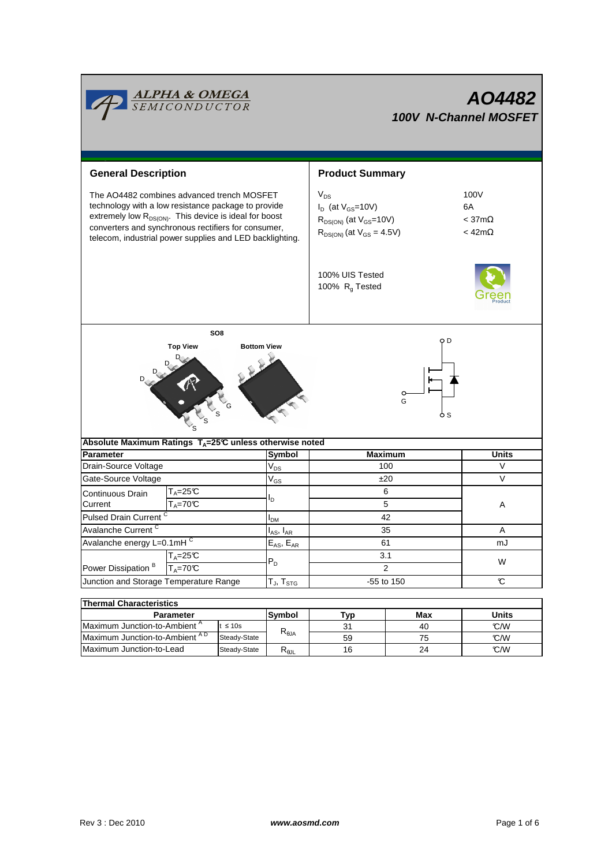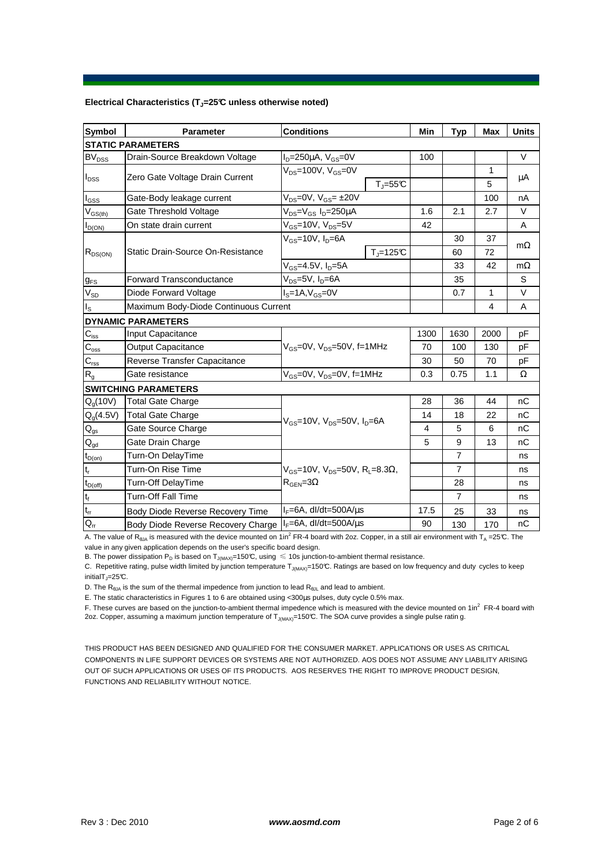### **Electrical Characteristics (TJ=25°C unless otherwise noted)**

| <b>Symbol</b>               | <b>Parameter</b>                      | <b>Conditions</b>                                                                                 | Min  | <b>Typ</b>     | <b>Max</b> | <b>Units</b> |
|-----------------------------|---------------------------------------|---------------------------------------------------------------------------------------------------|------|----------------|------------|--------------|
| <b>STATIC PARAMETERS</b>    |                                       |                                                                                                   |      |                |            |              |
| <b>BV<sub>DSS</sub></b>     | Drain-Source Breakdown Voltage        | $I_D = 250 \mu A$ , $V_{GS} = 0V$                                                                 | 100  |                |            | V            |
| $I_{DSS}$                   | Zero Gate Voltage Drain Current       | $V_{DS}$ =100V, $V_{GS}$ =0V                                                                      |      |                | 1          | μA           |
|                             |                                       | $T_J = 55C$                                                                                       |      |                | 5          |              |
| l <sub>GSS</sub>            | Gate-Body leakage current             | $V_{DS} = 0V$ , $V_{GS} = \pm 20V$                                                                |      |                | 100        | nA           |
| $V_{GS(th)}$                | Gate Threshold Voltage                | $V_{DS} = V_{GS} I_D = 250 \mu A$                                                                 | 1.6  | 2.1            | 2.7        | V            |
| $I_{D(ON)}$                 | On state drain current                | $V_{GS}$ =10V, $V_{DS}$ =5V                                                                       | 42   |                |            | A            |
| $R_{DS(ON)}$                | Static Drain-Source On-Resistance     | $V_{GS}$ =10V, $I_D$ =6A                                                                          |      | 30             | 37         |              |
|                             |                                       | $T_J = 125C$                                                                                      |      | 60             | 72         | $m\Omega$    |
|                             |                                       | $V_{GS}$ =4.5V, $I_D$ =5A                                                                         |      | 33             | 42         | $m\Omega$    |
| $g_{FS}$                    | <b>Forward Transconductance</b>       | $V_{DS}=5V$ , $I_D=6A$                                                                            |      | 35             |            | S            |
| $V_{SD}$                    | Diode Forward Voltage                 | $IS=1A, VGS=0V$                                                                                   |      | 0.7            | 1          | V            |
| Is                          | Maximum Body-Diode Continuous Current |                                                                                                   |      |                | 4          | A            |
|                             | <b>DYNAMIC PARAMETERS</b>             |                                                                                                   |      |                |            |              |
| $C_{\text{iss}}$            | Input Capacitance                     | $V_{GS}$ =0V, $V_{DS}$ =50V, f=1MHz                                                               | 1300 | 1630           | 2000       | pF           |
| $\mathsf{C}_{\mathrm{oss}}$ | <b>Output Capacitance</b>             |                                                                                                   | 70   | 100            | 130        | pF           |
| $C_{\rm rss}$               | Reverse Transfer Capacitance          |                                                                                                   | 30   | 50             | 70         | pF           |
| R <sub>g</sub>              | Gate resistance                       | $V_{GS}$ =0V, $V_{DS}$ =0V, f=1MHz                                                                | 0.3  | 0.75           | 1.1        | Ω            |
|                             | <b>SWITCHING PARAMETERS</b>           |                                                                                                   |      |                |            |              |
| $Q_q(10V)$                  | <b>Total Gate Charge</b>              | $V_{GS}$ =10V, $V_{DS}$ =50V, $I_{D}$ =6A                                                         | 28   | 36             | 44         | nC           |
| $Q_g(4.5V)$                 | <b>Total Gate Charge</b>              |                                                                                                   | 14   | 18             | 22         | nC           |
| $\mathsf{Q}_{\mathsf{gs}}$  | Gate Source Charge                    |                                                                                                   | 4    | 5              | 6          | nC           |
| $\mathsf{Q}_{\text{gd}}$    | Gate Drain Charge                     |                                                                                                   | 5    | 9              | 13         | nC           |
| $t_{D(0n)}$                 | Turn-On DelayTime                     |                                                                                                   |      | $\overline{7}$ |            | ns           |
| $t_r$                       | Turn-On Rise Time                     | $V_{GS}$ =10V, V <sub>DS</sub> =50V, R <sub>L</sub> =8.3 $\Omega$ ,<br>$R_{\text{GEN}} = 3\Omega$ |      | $\overline{7}$ |            | ns           |
| $t_{D(off)}$                | Turn-Off DelayTime                    |                                                                                                   |      | 28             |            | ns           |
| $\mathbf{t}_\text{f}$       | Turn-Off Fall Time                    |                                                                                                   |      | $\overline{7}$ |            | ns           |
| $\mathsf{t}_\mathsf{rr}$    | Body Diode Reverse Recovery Time      | $I_F = 6A$ , dl/dt=500A/ $\mu$ s                                                                  | 17.5 | 25             | 33         | ns           |
| $Q_{rr}$                    | Body Diode Reverse Recovery Charge    | $I_F = 6A$ , dl/dt=500A/us                                                                        | 90   | 130            | 170        | nC           |

A. The value of R<sub>θJA</sub> is measured with the device mounted on 1in<sup>2</sup> FR-4 board with 2oz. Copper, in a still air environment with T<sub>A</sub> =25°C. The value in any given application depends on the user's specific board design.

B. The power dissipation P<sub>D</sub> is based on T<sub>J(MAX)</sub>=150°C, using  $\leq 10$ s junction-to-ambient thermal resistance.

C. Repetitive rating, pulse width limited by junction temperature  $T_{J(MAX)}$ =150°C. Ratings are based on low frequency and duty cycles to keep initialT $_J=25^{\circ}C$ .

D. The  $R_{\theta JA}$  is the sum of the thermal impedence from junction to lead  $R_{\theta JL}$  and lead to ambient.

E. The static characteristics in Figures 1 to 6 are obtained using <300µs pulses, duty cycle 0.5% max.

F. These curves are based on the junction-to-ambient thermal impedence which is measured with the device mounted on 1in<sup>2</sup> FR-4 board with 2oz. Copper, assuming a maximum junction temperature of  $T_{J(MAX)}$ =150°C. The SOA curve provides a single pulse ratin g.

THIS PRODUCT HAS BEEN DESIGNED AND QUALIFIED FOR THE CONSUMER MARKET. APPLICATIONS OR USES AS CRITICAL COMPONENTS IN LIFE SUPPORT DEVICES OR SYSTEMS ARE NOT AUTHORIZED. AOS DOES NOT ASSUME ANY LIABILITY ARISING OUT OF SUCH APPLICATIONS OR USES OF ITS PRODUCTS. AOS RESERVES THE RIGHT TO IMPROVE PRODUCT DESIGN, FUNCTIONS AND RELIABILITY WITHOUT NOTICE.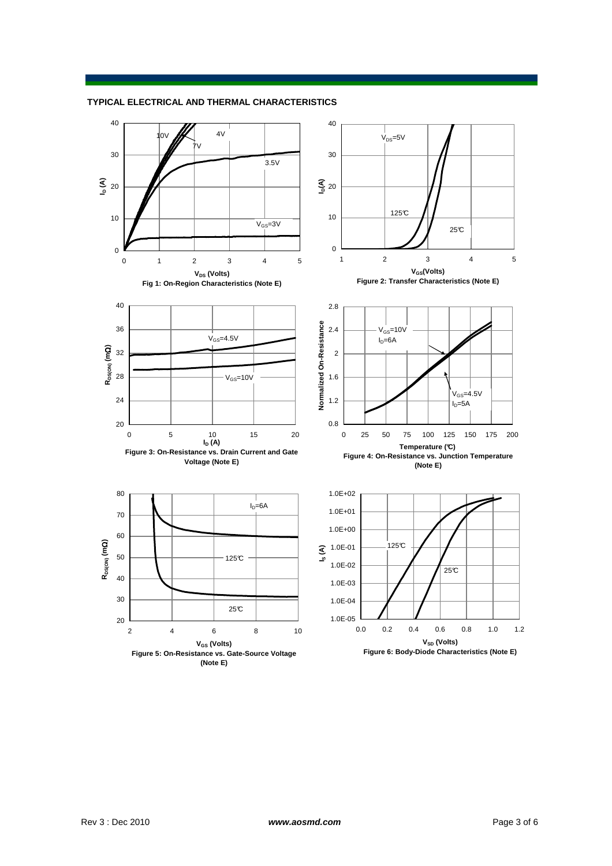#### **TYPICAL ELECTRICAL AND THERMAL CHARACTERISTICS**

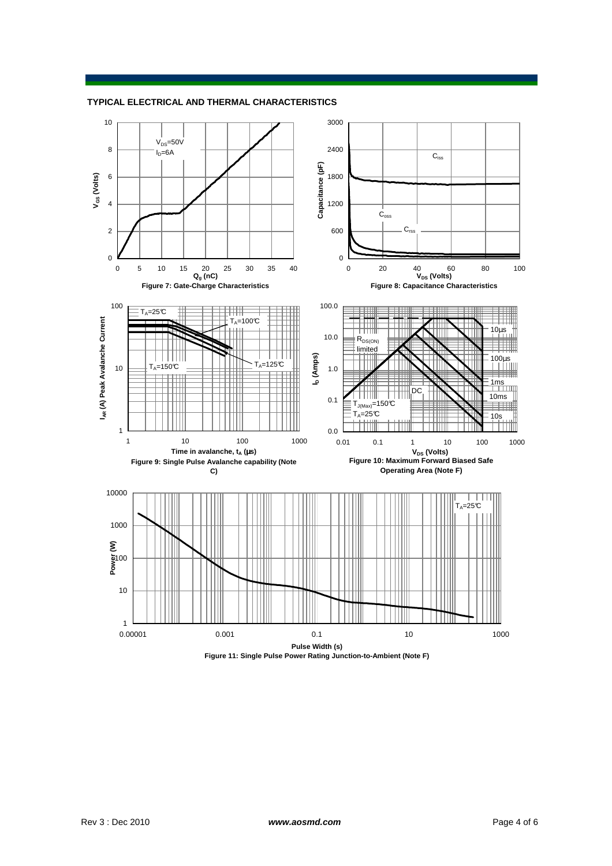

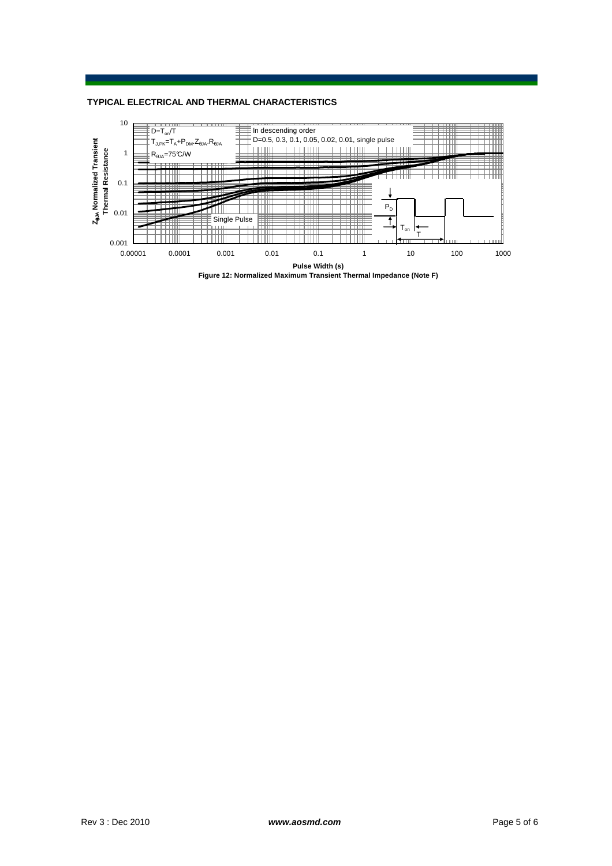### **TYPICAL ELECTRICAL AND THERMAL CHARACTERISTICS**